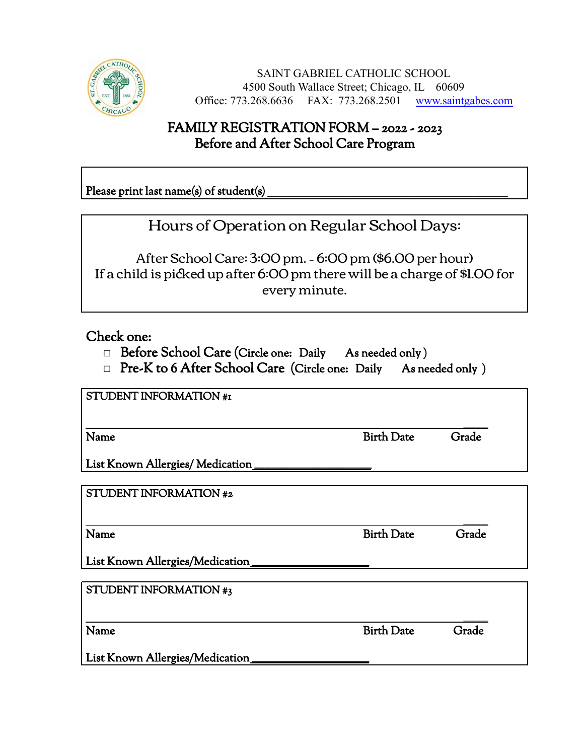

SAINT GABRIEL CATHOLIC SCHOOL 4500 South Wallace Street; Chicago, IL 60609 Office: 773.268.6636 FAX: 773.268.2501 www.saintgabes.com

## FAMILY REGISTRATION FORM – 2022 - 2023 Before and After School Care Program

Please print last name(s) of student(s)

Hours of Operation on Regular School Days:

After School Care: 3:00 pm. – 6:00 pm (\$6.00 per hour) If a child is picked up after 6:00 pm there will be a charge of \$1.00 for every minute.

Check one:

- □ Before School Care (Circle one: Daily As needed only )
- □ Pre-K to 6 After School Care (Circle one: Daily As needed only)

STUDENT INFORMATION #1

\_\_\_\_\_\_\_\_\_\_ Name Grade Grade Grade Grade Grade Grade Grade Grade Grade Grade Grade Grade Grade Grade Grade Grade Grade Gra

List Known Allergies/ Medication\_

STUDENT INFORMATION #2

Name Grade Grade Birth Date Grade

\_\_\_\_\_\_\_\_\_\_

List Known Allergies/Medication

STUDENT INFORMATION #3

Name Grade Grade Grade Birth Date Grade

\_\_\_\_\_\_\_\_\_\_

List Known Allergies/Medication\_